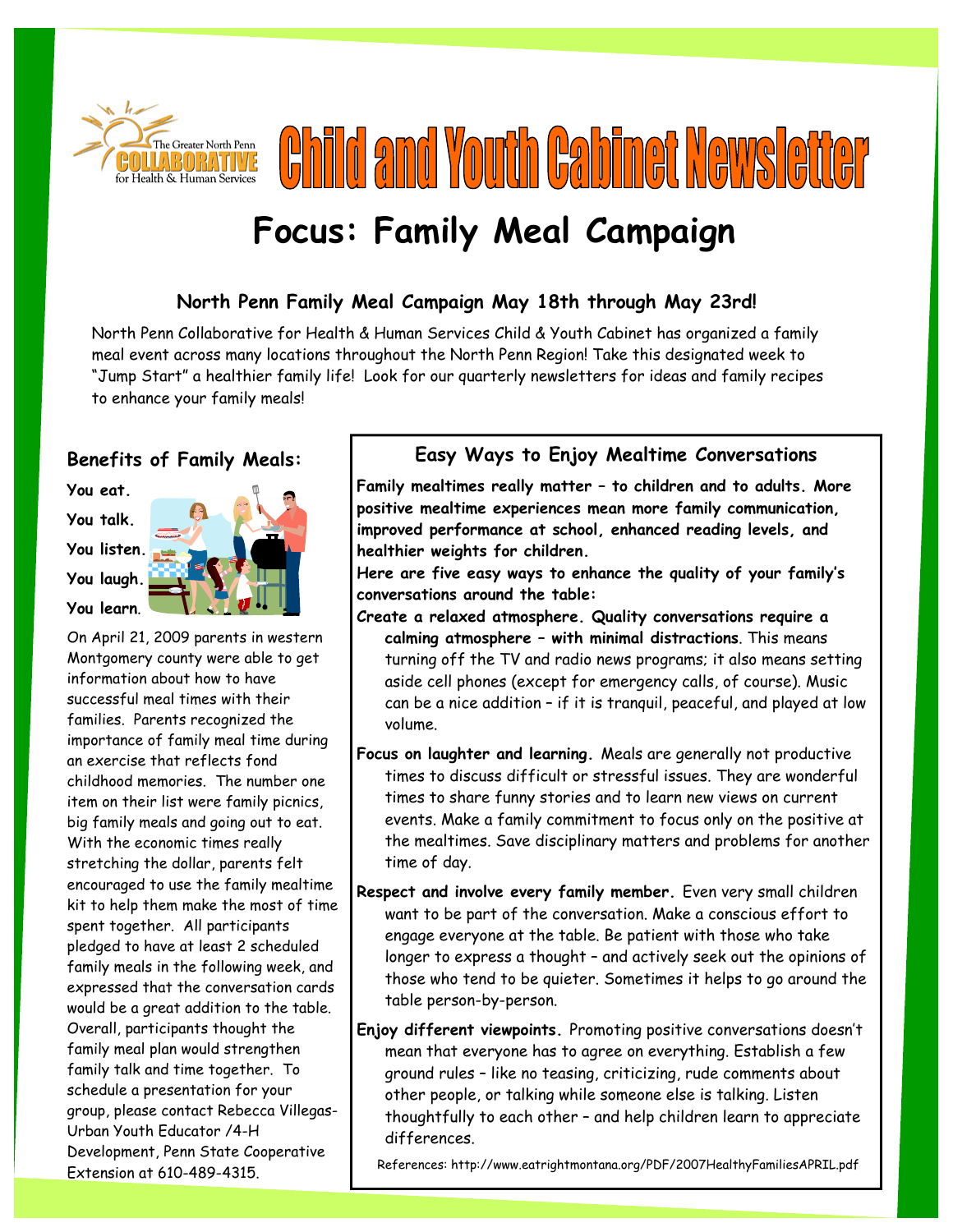

**Child and Youth Cabinet Newsletter** 

# **Focus: Family Meal Campaign**

### **North Penn Family Meal Campaign May 18th through May 23rd!**

North Penn Collaborative for Health & Human Services Child & Youth Cabinet has organized a family meal event across many locations throughout the North Penn Region! Take this designated week to "Jump Start" a healthier family life! Look for our quarterly newsletters for ideas and family recipes to enhance your family meals!

#### **Benefits of Family Meals:**

**You eat. You talk. You listen. You laugh. You learn**.



On April 21, 2009 parents in western Montgomery county were able to get information about how to have successful meal times with their families. Parents recognized the importance of family meal time during an exercise that reflects fond childhood memories. The number one item on their list were family picnics, big family meals and going out to eat. With the economic times really stretching the dollar, parents felt encouraged to use the family mealtime kit to help them make the most of time spent together. All participants pledged to have at least 2 scheduled family meals in the following week, and expressed that the conversation cards would be a great addition to the table. Overall, participants thought the family meal plan would strengthen family talk and time together. To schedule a presentation for your group, please contact Rebecca Villegas-Urban Youth Educator /4-H Development, Penn State Cooperative Extension at 610-489-4315.

### **Easy Ways to Enjoy Mealtime Conversations**

**Family mealtimes really matter – to children and to adults. More positive mealtime experiences mean more family communication, improved performance at school, enhanced reading levels, and healthier weights for children.** 

**Here are five easy ways to enhance the quality of your family's conversations around the table:** 

- **Create a relaxed atmosphere. Quality conversations require a calming atmosphere – with minimal distractions**. This means turning off the TV and radio news programs; it also means setting aside cell phones (except for emergency calls, of course). Music can be a nice addition – if it is tranquil, peaceful, and played at low volume.
- **Focus on laughter and learning.** Meals are generally not productive times to discuss difficult or stressful issues. They are wonderful times to share funny stories and to learn new views on current events. Make a family commitment to focus only on the positive at the mealtimes. Save disciplinary matters and problems for another time of day.
- **Respect and involve every family member.** Even very small children want to be part of the conversation. Make a conscious effort to engage everyone at the table. Be patient with those who take longer to express a thought – and actively seek out the opinions of those who tend to be quieter. Sometimes it helps to go around the table person-by-person.
- **Enjoy different viewpoints.** Promoting positive conversations doesn't mean that everyone has to agree on everything. Establish a few ground rules – like no teasing, criticizing, rude comments about other people, or talking while someone else is talking. Listen thoughtfully to each other – and help children learn to appreciate differences.

References: http://www.eatrightmontana.org/PDF/2007HealthyFamiliesAPRIL.pdf